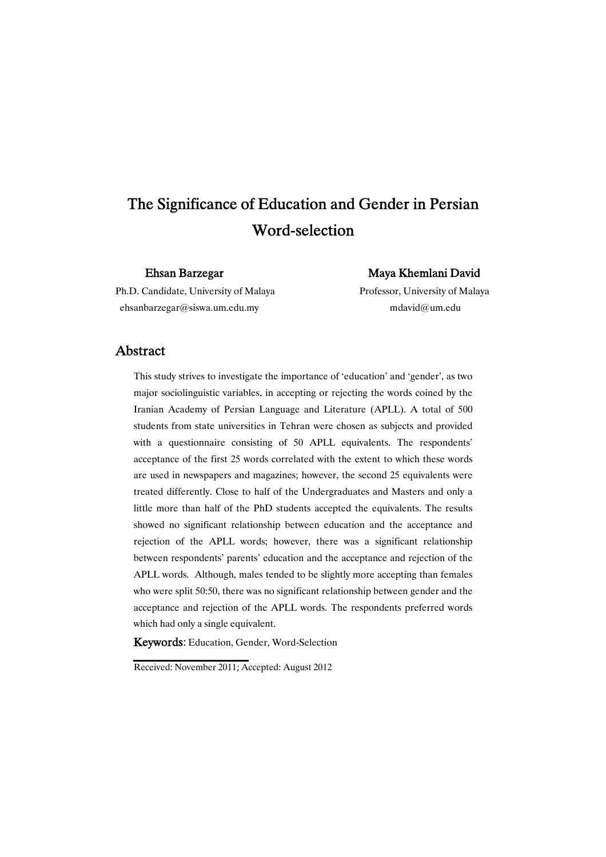# The Significance of Education and Gender in Persian Word-selection

Ehsan Barzegar Maya Khemlani David

Ph.D. Candidate, University of Malaya Professor, University of Malaya ehsanbarzegar@siswa.um.edu.my mdavid@um.edu

# Abstract

This study strives to investigate the importance of 'education' and 'gender', as two major sociolinguistic variables, in accepting or rejecting the words coined by the Iranian Academy of Persian Language and Literature (APLL). A total of 500 students from state universities in Tehran were chosen as subjects and provided with a questionnaire consisting of 50 APLL equivalents. The respondents' acceptance of the first 25 words correlated with the extent to which these words are used in newspapers and magazines; however, the second 25 equivalents were treated differently. Close to half of the Undergraduates and Masters and only a little more than half of the PhD students accepted the equivalents. The results showed no significant relationship between education and the acceptance and rejection of the APLL words; however, there was a significant relationship between respondents' parents' education and the acceptance and rejection of the APLL words. Although, males tended to be slightly more accepting than females who were split 50:50, there was no significant relationship between gender and the acceptance and rejection of the APLL words. The respondents preferred words which had only a single equivalent.

Keywords: Education, Gender, Word-Selection

Received: November 2011; Accepted: August 2012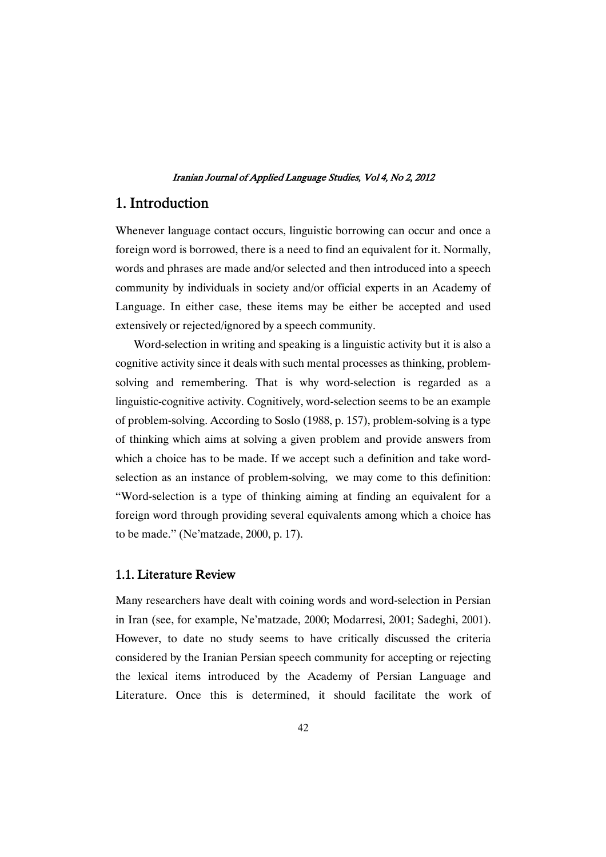# 1.Introduction

Whenever language contact occurs, linguistic borrowing can occur and once a foreign word is borrowed, there is a need to find an equivalent for it. Normally, words and phrases are made and/or selected and then introduced into a speech community by individuals in society and/or official experts in an Academy of Language. In either case, these items may be either be accepted and used extensively or rejected/ignored by a speech community.

Word-selection in writing and speaking is a linguistic activity but it is also a cognitive activity since it deals with such mental processes as thinking, problemsolving and remembering. That is why word-selection is regarded as a linguistic-cognitive activity. Cognitively, word-selection seems to be an example of problem-solving. According to Soslo (1988, p. 157), problem-solving is a type of thinking which aims at solving a given problem and provide answers from which a choice has to be made. If we accept such a definition and take wordselection as an instance of problem-solving, we may come to this definition: ''Word-selection is a type of thinking aiming at finding an equivalent for a foreign word through providing several equivalents among which a choice has to be made.'' (Ne'matzade, 2000, p. 17).

# 1.1. Literature Review

Many researchers have dealt with coining words and word-selection in Persian in Iran (see, for example, Ne'matzade, 2000; Modarresi, 2001; Sadeghi, 2001). However, to date no study seems to have critically discussed the criteria considered by the Iranian Persian speech community for accepting or rejecting the lexical items introduced by the Academy of Persian Language and Literature. Once this is determined, it should facilitate the work of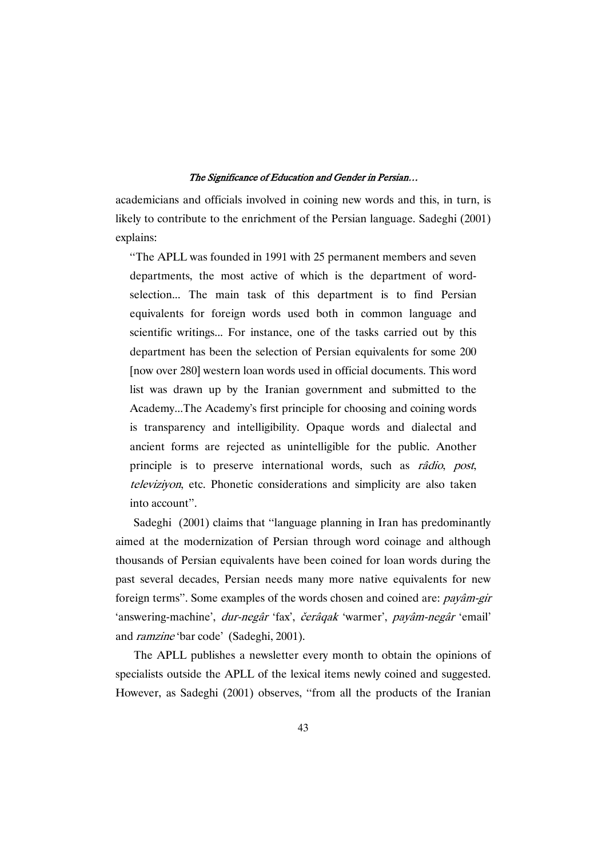academicians and officials involved in coining new words and this, in turn, is likely to contribute to the enrichment of the Persian language. Sadeghi (2001) explains:

''The APLL was founded in 1991 with 25 permanent members and seven departments, the most active of which is the department of wordselection... The main task of this department is to find Persian equivalents for foreign words used both in common language and scientific writings... For instance, one of the tasks carried out by this department has been the selection of Persian equivalents for some 200 [now over 280] western loan words used in official documents. This word list was drawn up by the Iranian government and submitted to the Academy...The Academy's first principle for choosing and coining words is transparency and intelligibility. Opaque words and dialectal and ancient forms are rejected as unintelligible for the public. Another principle is to preserve international words, such as râdio, post, televiziyon, etc. Phonetic considerations and simplicity are also taken into account''.

Sadeghi (2001) claims that ''language planning in Iran has predominantly aimed at the modernization of Persian through word coinage and although thousands of Persian equivalents have been coined for loan words during the past several decades, Persian needs many more native equivalents for new foreign terms''. Some examples of the words chosen and coined are: payâm-gir 'answering-machine', *dur-negâr* 'fax', *čerâqak* 'warmer', *payâm-negâr* 'email' and ramzine 'bar code' (Sadeghi, 2001).

The APLL publishes a newsletter every month to obtain the opinions of specialists outside the APLL of the lexical items newly coined and suggested. However, as Sadeghi (2001) observes, "from all the products of the Iranian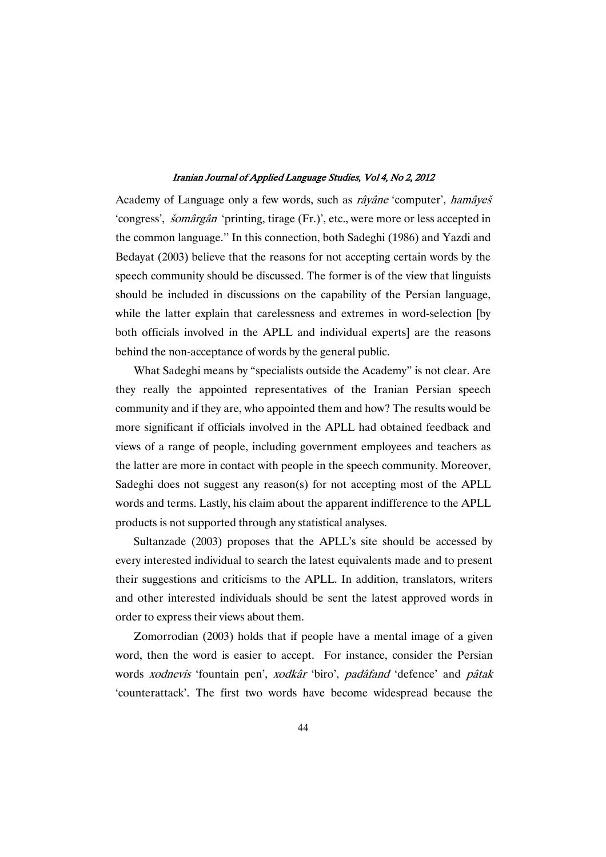Academy of Language only a few words, such as râyâne 'computer', hamâyeš 'congress', šomârgân 'printing, tirage (Fr.)', etc., were more or less accepted in the common language.'' In this connection, both Sadeghi (1986) and Yazdi and Bedayat (2003) believe that the reasons for not accepting certain words by the speech community should be discussed. The former is of the view that linguists should be included in discussions on the capability of the Persian language, while the latter explain that carelessness and extremes in word-selection [by both officials involved in the APLL and individual experts] are the reasons behind the non-acceptance of words by the general public.

What Sadeghi means by "specialists outside the Academy" is not clear. Are they really the appointed representatives of the Iranian Persian speech community and if they are, who appointed them and how? The results would be more significant if officials involved in the APLL had obtained feedback and views of a range of people, including government employees and teachers as the latter are more in contact with people in the speech community. Moreover, Sadeghi does not suggest any reason(s) for not accepting most of the APLL words and terms. Lastly, his claim about the apparent indifference to the APLL products is not supported through any statistical analyses.

Sultanzade (2003) proposes that the APLL's site should be accessed by every interested individual to search the latest equivalents made and to present their suggestions and criticisms to the APLL. In addition, translators, writers and other interested individuals should be sent the latest approved words in order to express their views about them.

Zomorrodian (2003) holds that if people have a mental image of a given word, then the word is easier to accept. For instance, consider the Persian words xodnevis 'fountain pen', xodkâr 'biro', padâfand 'defence' and pâtak 'counterattack'. The first two words have become widespread because the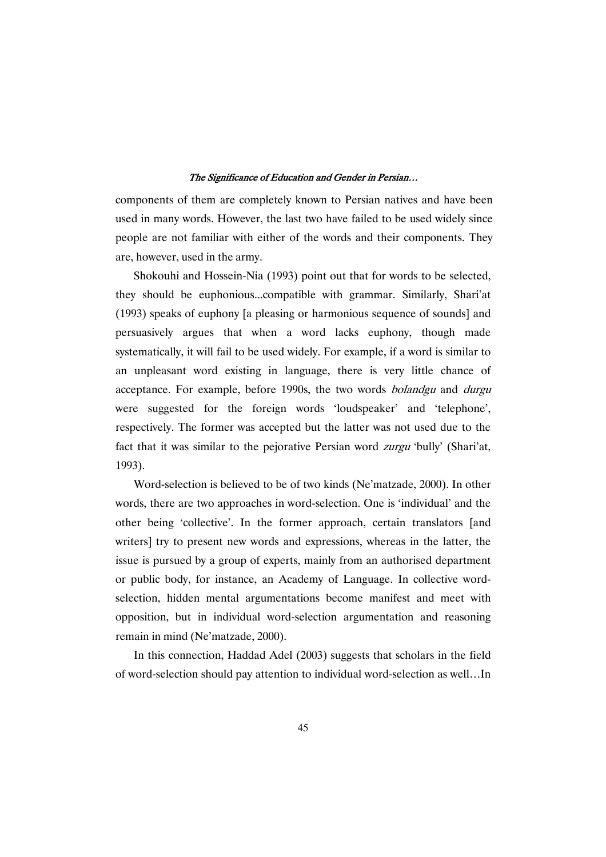components of them are completely known to Persian natives and have been used in many words. However, the last two have failed to be used widely since people are not familiar with either of the words and their components. They are, however, used in the army.

Shokouhi and Hossein-Nia (1993) point out that for words to be selected, they should be euphonious...compatible with grammar. Similarly, Shari'at (1993) speaks of euphony [a pleasing or harmonious sequence of sounds] and persuasively argues that when a word lacks euphony, though made systematically, it will fail to be used widely. For example, if a word is similar to an unpleasant word existing in language, there is very little chance of acceptance. For example, before 1990s, the two words bolandgu and durgu were suggested for the foreign words 'loudspeaker' and 'telephone', respectively. The former was accepted but the latter was not used due to the fact that it was similar to the pejorative Persian word zurgu 'bully' (Shari'at, 1993).

Word-selection is believed to be of two kinds (Ne'matzade, 2000). In other words, there are two approaches in word-selection. One is 'individual' and the other being 'collective'. In the former approach, certain translators [and writers] try to present new words and expressions, whereas in the latter, the issue is pursued by a group of experts, mainly from an authorised department or public body, for instance, an Academy of Language. In collective wordselection, hidden mental argumentations become manifest and meet with opposition, but in individual word-selection argumentation and reasoning remain in mind (Ne'matzade, 2000).

In this connection, Haddad Adel (2003) suggests that scholars in the field of word-selection should pay attention to individual word-selection as well…In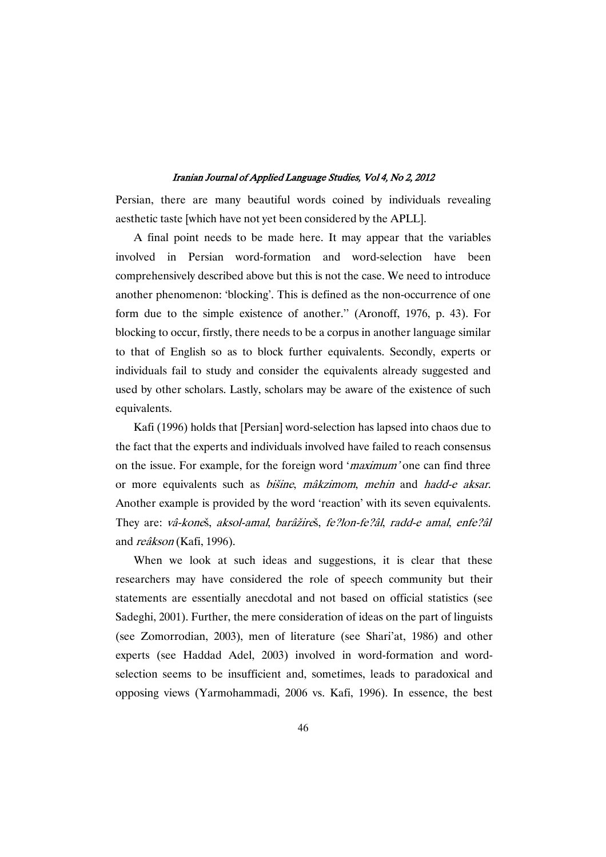Persian, there are many beautiful words coined by individuals revealing aesthetic taste [which have not yet been considered by the APLL].

A final point needs to be made here. It may appear that the variables involved in Persian word-formation and word-selection have been comprehensively described above but this is not the case. We need to introduce another phenomenon: 'blocking'. This is defined as the non-occurrence of one form due to the simple existence of another.'' (Aronoff, 1976, p. 43). For blocking to occur, firstly, there needs to be a corpus in another language similar to that of English so as to block further equivalents. Secondly, experts or individuals fail to study and consider the equivalents already suggested and used by other scholars. Lastly, scholars may be aware of the existence of such equivalents.

Kafi (1996) holds that [Persian] word-selection has lapsed into chaos due to the fact that the experts and individuals involved have failed to reach consensus on the issue. For example, for the foreign word '*maximum*' one can find three or more equivalents such as bišine, mâkzimom, mehin and hadd-e aksar. Another example is provided by the word 'reaction' with its seven equivalents. They are: vâ-koneš, aksol-amal, barâžireš, fe?lon-fe?âl, radd-e amal, enfe?âl and reâkson (Kafi, 1996).

When we look at such ideas and suggestions, it is clear that these researchers may have considered the role of speech community but their statements are essentially anecdotal and not based on official statistics (see Sadeghi, 2001). Further, the mere consideration of ideas on the part of linguists (see Zomorrodian, 2003), men of literature (see Shari'at, 1986) and other experts (see Haddad Adel, 2003) involved in word-formation and wordselection seems to be insufficient and, sometimes, leads to paradoxical and opposing views (Yarmohammadi, 2006 vs. Kafi, 1996). In essence, the best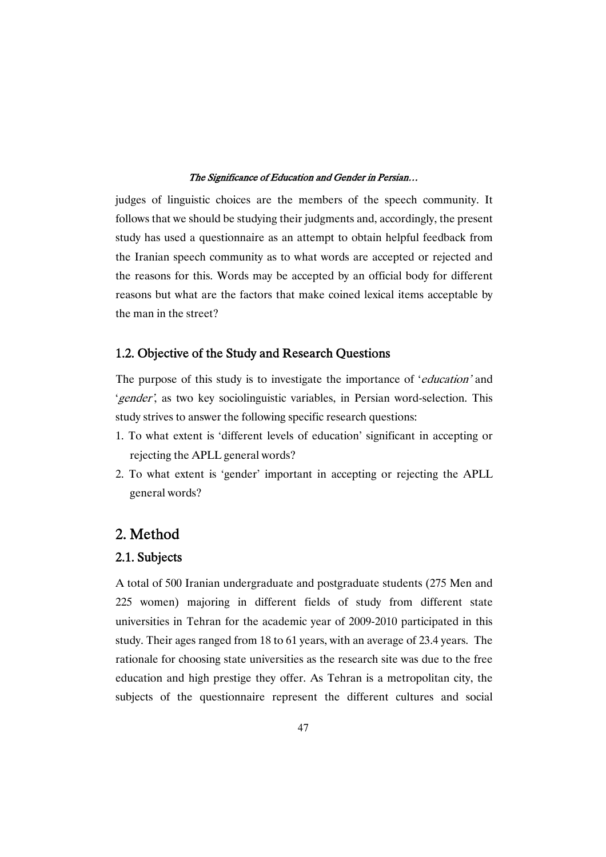judges of linguistic choices are the members of the speech community. It follows that we should be studying their judgments and, accordingly, the present study has used a questionnaire as an attempt to obtain helpful feedback from the Iranian speech community as to what words are accepted or rejected and the reasons for this. Words may be accepted by an official body for different reasons but what are the factors that make coined lexical items acceptable by the man in the street?

# 1.2. Objective of the Study and Research Questions

The purpose of this study is to investigate the importance of *'education'* and 'gender', as two key sociolinguistic variables, in Persian word-selection. This study strives to answer the following specific research questions:

- 1. To what extent is 'different levels of education' significant in accepting or rejecting the APLL general words?
- 2. To what extent is 'gender' important in accepting or rejecting the APLL general words?

# 2.Method

# 2.1.Subjects

A total of 500 Iranian undergraduate and postgraduate students (275 Men and 225 women) majoring in different fields of study from different state universities in Tehran for the academic year of 2009-2010 participated in this study. Their ages ranged from 18 to 61 years, with an average of 23.4 years. The rationale for choosing state universities as the research site was due to the free education and high prestige they offer. As Tehran is a metropolitan city, the subjects of the questionnaire represent the different cultures and social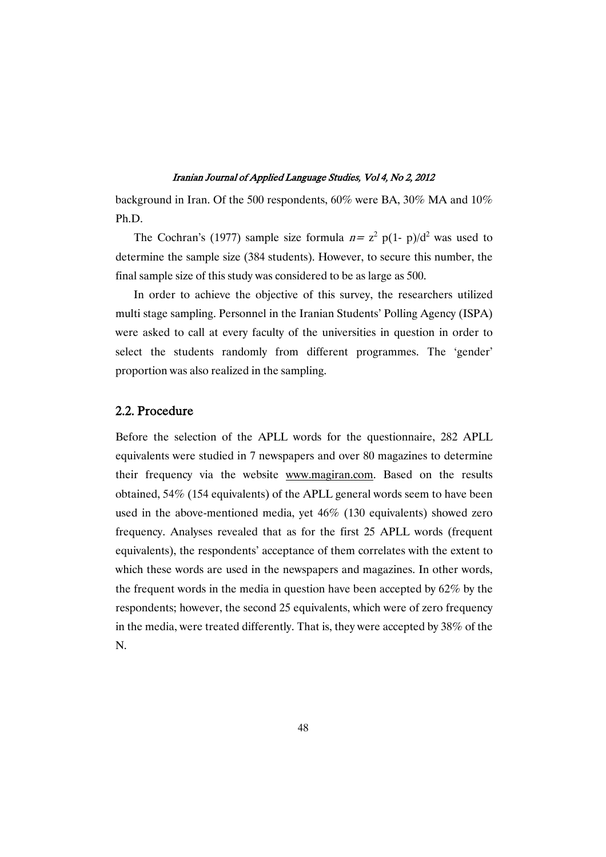background in Iran. Of the 500 respondents, 60% were BA, 30% MA and 10% Ph.D.

The Cochran's (1977) sample size formula  $n = z^2$  p(1- p)/d<sup>2</sup> was used to determine the sample size (384 students). However, to secure this number, the final sample size of this study was considered to be as large as 500.

In order to achieve the objective of this survey, the researchers utilized multi stage sampling. Personnel in the Iranian Students' Polling Agency (ISPA) were asked to call at every faculty of the universities in question in order to select the students randomly from different programmes. The 'gender' proportion was also realized in the sampling.

# 2.2.Procedure

Before the selection of the APLL words for the questionnaire, 282 APLL equivalents were studied in 7 newspapers and over 80 magazines to determine their frequency via the website www.magiran.com. Based on the results obtained, 54% (154 equivalents) of the APLL general words seem to have been used in the above-mentioned media, yet 46% (130 equivalents) showed zero frequency. Analyses revealed that as for the first 25 APLL words (frequent equivalents), the respondents' acceptance of them correlates with the extent to which these words are used in the newspapers and magazines. In other words, the frequent words in the media in question have been accepted by 62% by the respondents; however, the second 25 equivalents, which were of zero frequency in the media, were treated differently. That is, they were accepted by 38% of the N.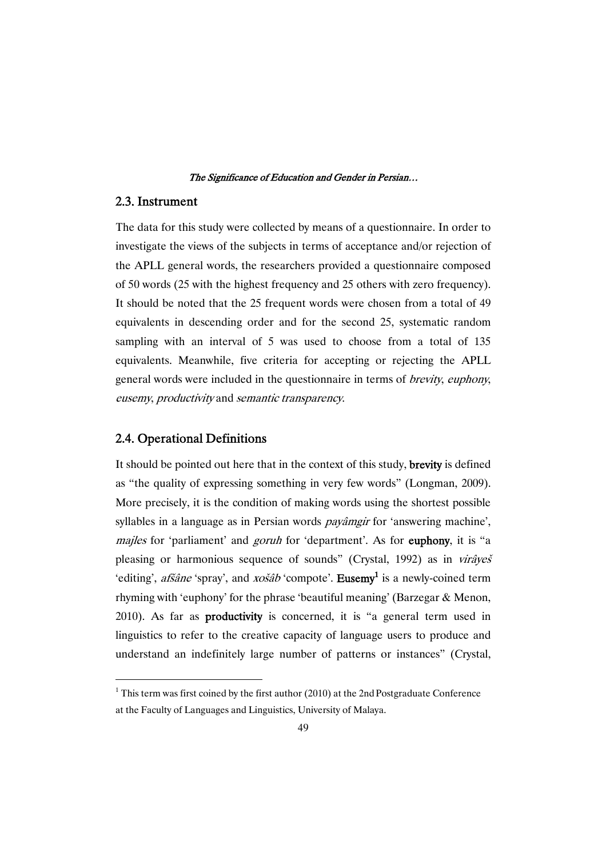# 2.3.Instrument

The data for this study were collected by means of a questionnaire. In order to investigate the views of the subjects in terms of acceptance and/or rejection of the APLL general words, the researchers provided a questionnaire composed of 50 words (25 with the highest frequency and 25 others with zero frequency). It should be noted that the 25 frequent words were chosen from a total of 49 equivalents in descending order and for the second 25, systematic random sampling with an interval of 5 was used to choose from a total of 135 equivalents. Meanwhile, five criteria for accepting or rejecting the APLL general words were included in the questionnaire in terms of brevity, euphony, eusemy, productivity and semantic transparency.

## 2.4. Operational Definitions

It should be pointed out here that in the context of this study, brevity is defined as "the quality of expressing something in very few words" (Longman, 2009). More precisely, it isthe condition of making words using the shortest possible syllables in a language as in Persian words *payâmgir* for 'answering machine', majles for 'parliament' and *goruh* for 'department'. As for **euphony**, it is "a pleasing or harmonious sequence of sounds" (Crystal, 1992) as in virâyeš 'editing', *afšâne* 'spray', and *xošâb* 'compote'. **Eusemy**<sup>1</sup> is a newly-coined term rhyming with 'euphony' for the phrase 'beautiful meaning' (Barzegar & Menon, 2010). As far as productivity is concerned, it is "a general term used in linguistics to refer to the creative capacity of language users to produce and understand an indefinitely large number of patterns or instances" (Crystal,

 $1$ <sup>1</sup> This term was first coined by the first author (2010) at the 2nd Postgraduate Conference at the Faculty of Languages and Linguistics, University of Malaya.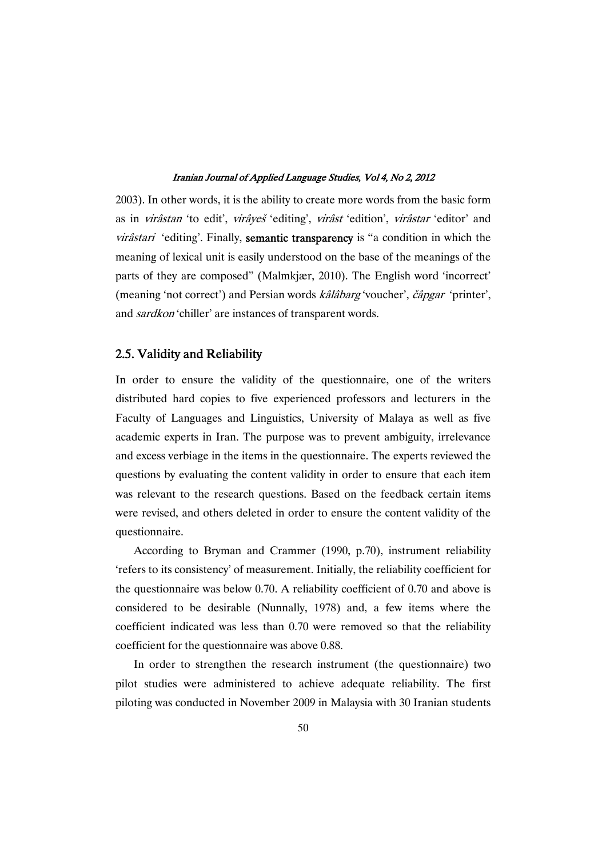2003). In other words, it is the ability to create more words from the basic form as in virâstan 'to edit', virâyeš 'editing', virâst 'edition', virâstar 'editor' and virâstari 'editing'. Finally, semantic transparency is "a condition in which the meaning of lexical unit is easily understood on the base of the meanings of the parts of they are composed" (Malmkjær, 2010). The English word 'incorrect' (meaning 'not correct') and Persian words  $k\hat{a}l\hat{a}barg$  'voucher',  $\check{c}\hat{a}pgar$  'printer', and sardkon 'chiller' are instances of transparent words.

# 2.5. Validity and Reliability

In order to ensure the validity of the questionnaire, one of the writers distributed hard copies to five experienced professors and lecturers in the Faculty of Languages and Linguistics, University of Malaya as well as five academic experts in Iran. The purpose was to prevent ambiguity, irrelevance and excess verbiage in the items in the questionnaire. The experts reviewed the questions by evaluating the content validity in order to ensure that each item was relevant to the research questions. Based on the feedback certain items were revised, and others deleted in order to ensure the content validity of the questionnaire.

According to Bryman and Crammer (1990, p.70), instrument reliability 'refers to its consistency' of measurement. Initially, the reliability coefficient for the questionnaire was below 0.70. A reliability coefficient of 0.70 and above is considered to be desirable (Nunnally, 1978) and, a few items where the coefficient indicated was less than 0.70 were removed so that the reliability coefficient for the questionnaire was above 0.88.

In order to strengthen the research instrument (the questionnaire) two pilot studies were administered to achieve adequate reliability. The first piloting was conducted in November 2009 in Malaysia with 30 Iranian students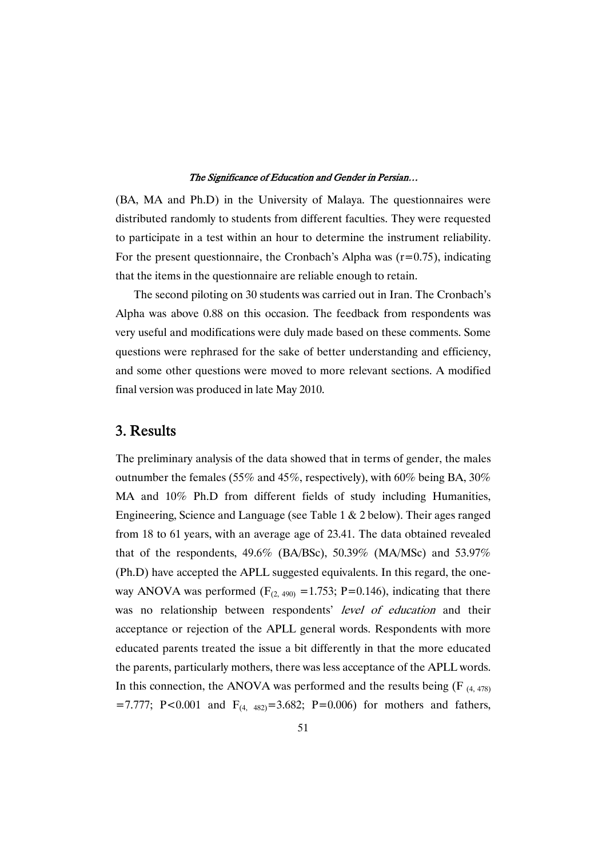(BA, MA and Ph.D) in the University of Malaya. The questionnaires were distributed randomly to students from different faculties. They were requested to participate in a test within an hour to determine the instrument reliability. For the present questionnaire, the Cronbach's Alpha was  $(r=0.75)$ , indicating that the items in the questionnaire are reliable enough to retain.

The second piloting on 30 students was carried out in Iran. The Cronbach's Alpha was above 0.88 on this occasion. The feedback from respondents was very useful and modifications were duly made based on these comments. Some questions were rephrased for the sake of better understanding and efficiency, and some other questions were moved to more relevant sections. A modified final version was produced in late May 2010.

# 3.Results

The preliminary analysis of the data showed that in terms of gender, the males outnumber the females (55% and 45%, respectively), with 60% being BA, 30% MA and 10% Ph.D from different fields of study including Humanities, Engineering, Science and Language (see Table 1 & 2 below). Their ages ranged from 18 to 61 years, with an average age of 23.41. The data obtained revealed that of the respondents, 49.6% (BA/BSc), 50.39% (MA/MSc) and 53.97% (Ph.D) have accepted the APLL suggested equivalents. In this regard, the oneway ANOVA was performed  $(F<sub>(2, 490)</sub> = 1.753; P=0.146)$ , indicating that there was no relationship between respondents' level of education and their acceptance or rejection of the APLL general words. Respondents with more educated parents treated the issue a bit differently in that the more educated the parents, particularly mothers, there was less acceptance of the APLL words. In this connection, the ANOVA was performed and the results being  $(F_{(4,478)})$ =7.777; P<0.001 and  $F_{(4, 482)}$ =3.682; P=0.006) for mothers and fathers,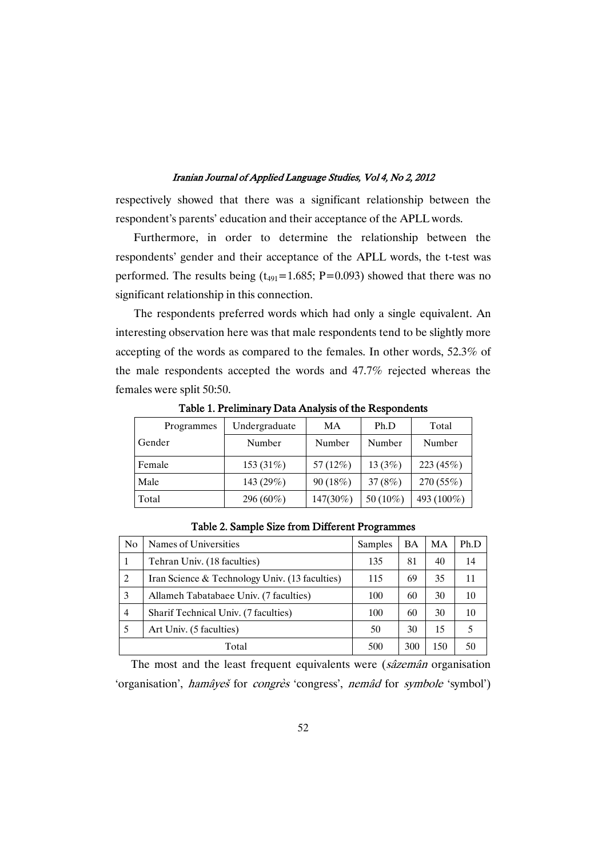respectively showed that there was a significant relationship between the respondent's parents' education and their acceptance of the APLL words.

Furthermore, in order to determine the relationship between the respondents' gender and their acceptance of the APLL words, the t-test was performed. The results being  $(t_{491}=1.685; P=0.093)$  showed that there was no significant relationship in this connection.

The respondents preferred words which had only a single equivalent. An interesting observation here was that male respondents tend to be slightly more accepting of the words as compared to the females. In other words, 52.3% of the male respondents accepted the words and 47.7% rejected whereas the females were split 50:50.

| Programmes | Undergraduate | МA          | Ph.D      | Total       |
|------------|---------------|-------------|-----------|-------------|
| Gender     | Number        | Number      | Number    | Number      |
| Female     | 153 (31%)     | 57 $(12\%)$ | 13 $(3%)$ | 223 $(45%)$ |
| Male       | 143 (29%)     | 90 (18%)    | 37 $(8%)$ | 270 (55%)   |
| Total      | 296 (60%)     | 147(30%)    | 50 (10%)  | 493 (100%)  |

Table 1. Preliminary Data Analysis of the Respondents

| N <sub>0</sub> | Names of Universities                          | Samples | <b>BA</b> | MA  | Ph.D |
|----------------|------------------------------------------------|---------|-----------|-----|------|
| 1              | Tehran Univ. (18 faculties)                    |         | 81        | 40  | 14   |
| 2              | Iran Science & Technology Univ. (13 faculties) |         | 69        | 35  | 11   |
| 3              | Allameh Tabatabaee Univ. (7 faculties)         |         | 60        | 30  | 10   |
| $\overline{4}$ | Sharif Technical Univ. (7 faculties)           |         | 60        | 30  | 10   |
|                | Art Univ. (5 faculties)                        |         | 30        | 15  |      |
| Total          |                                                | 500     | 300       | 150 | 50   |

Table 2. Sample Size from Different Programmes

The most and the least frequent equivalents were (sâzemân organisation 'organisation', hamâyeš for congrès 'congress', nemâd for symbole 'symbol')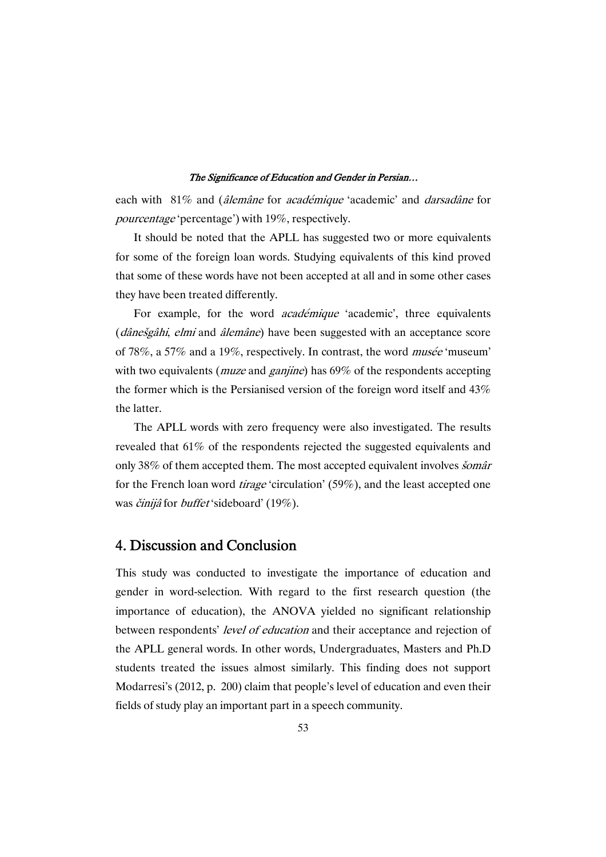each with 81% and (*âlemâne* for *académique* 'academic' and *darsadâne* for pourcentage 'percentage') with 19%, respectively.

It should be noted that the APLL has suggested two or more equivalents for some of the foreign loan words. Studying equivalents of this kind proved that some of these words have not been accepted at all and in some other cases they have been treated differently.

For example, for the word *académique* 'academic', three equivalents (*dânešgâhi*, *elmi* and *âlemâne*) have been suggested with an acceptance score of 78%, a 57% and a 19%, respectively. In contrast, the word musée 'museum' with two equivalents (*muze* and *ganjine*) has 69% of the respondents accepting the former which is the Persianised version of the foreign word itself and 43% the latter.

The APLL words with zero frequency were also investigated. The results revealed that 61% of the respondents rejected the suggested equivalents and only 38% of them accepted them. The most accepted equivalent involves *šomâr* for the French loan word *tirage* 'circulation' (59%), and the least accepted one was činijâ for buffet 'sideboard' (19%).

# 4. Discussion and Conclusion

This study was conducted to investigate the importance of education and gender in word-selection. With regard to the first research question (the importance of education), the ANOVA yielded no significant relationship between respondents' level of education and their acceptance and rejection of the APLL general words. In other words, Undergraduates, Masters and Ph.D students treated the issues almost similarly. This finding does not support Modarresi's (2012, p. 200) claim that people's level of education and even their fields of study play an important part in a speech community.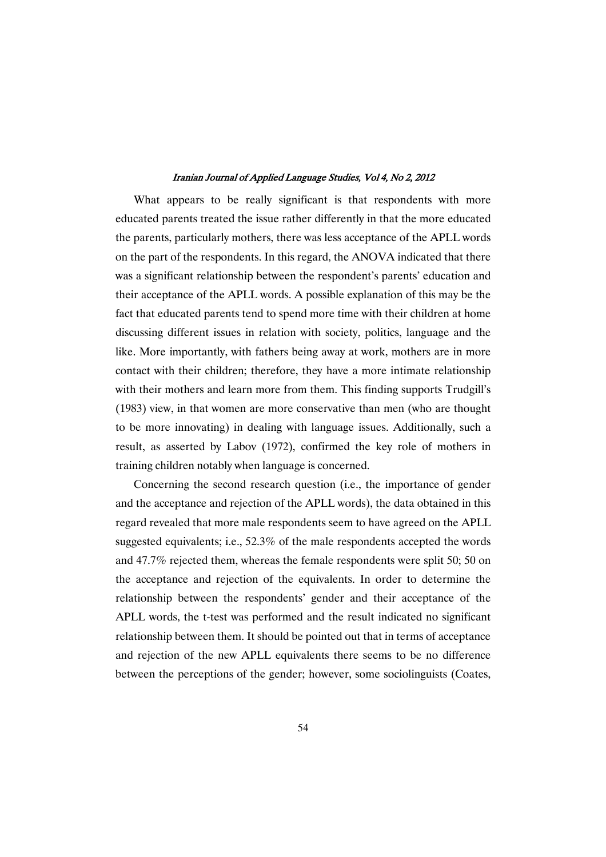What appears to be really significant is that respondents with more educated parents treated the issue rather differently in that the more educated the parents, particularly mothers, there was less acceptance of the APLL words on the part of the respondents. In this regard, the ANOVA indicated that there was a significant relationship between the respondent's parents' education and their acceptance of the APLL words. A possible explanation of this may be the fact that educated parents tend to spend more time with their children at home discussing different issues in relation with society, politics, language and the like. More importantly, with fathers being away at work, mothers are in more contact with their children; therefore, they have a more intimate relationship with their mothers and learn more from them. This finding supports Trudgill's (1983) view, in that women are more conservative than men (who are thought to be more innovating) in dealing with language issues. Additionally, such a result, as asserted by Labov (1972), confirmed the key role of mothers in training children notably when language is concerned.

Concerning the second research question (i.e., the importance of gender and the acceptance and rejection of the APLL words), the data obtained in this regard revealed that more male respondents seem to have agreed on the APLL suggested equivalents; i.e., 52.3% of the male respondents accepted the words and 47.7% rejected them, whereas the female respondents were split 50; 50 on the acceptance and rejection of the equivalents. In order to determine the relationship between the respondents' gender and their acceptance of the APLL words, the t-test was performed and the result indicated no significant relationship between them. It should be pointed out that in terms of acceptance and rejection of the new APLL equivalents there seems to be no difference between the perceptions of the gender; however, some sociolinguists (Coates,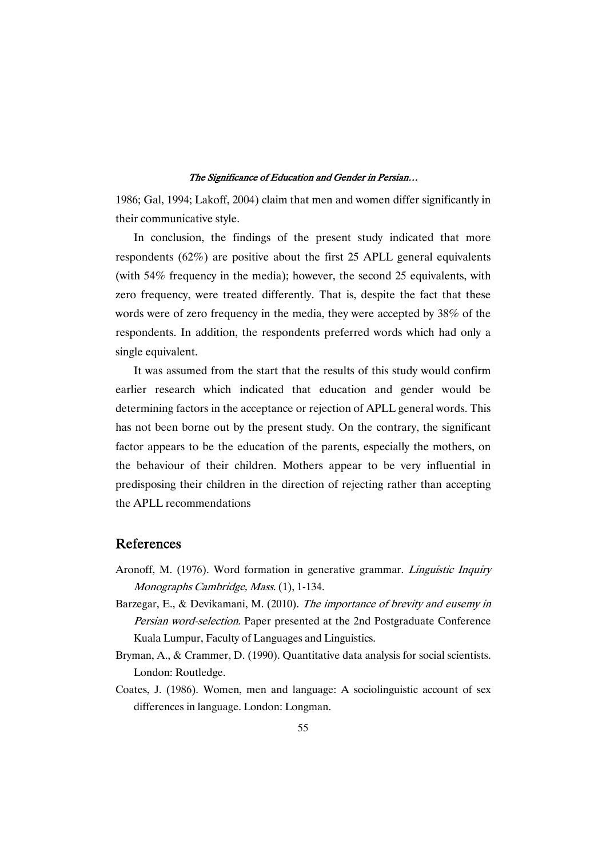1986; Gal, 1994; Lakoff, 2004) claim that men and women differ significantly in their communicative style.

In conclusion, the findings of the present study indicated that more respondents (62%) are positive about the first 25 APLL general equivalents (with 54% frequency in the media); however, the second 25 equivalents, with zero frequency, were treated differently. That is, despite the fact that these words were of zero frequency in the media, they were accepted by 38% of the respondents. In addition, the respondents preferred words which had only a single equivalent.

It was assumed from the start that the results of this study would confirm earlier research which indicated that education and gender would be determining factors in the acceptance or rejection of APLL general words. This has not been borne out by the present study. On the contrary, the significant factor appears to be the education of the parents, especially the mothers, on the behaviour of their children. Mothers appear to be very influential in predisposing their children in the direction of rejecting rather than accepting the APLL recommendations

# References

- Aronoff, M. (1976). Word formation in generative grammar. Linguistic Inquiry Monographs Cambridge, Mass. (1), 1-134.
- Barzegar, E., & Devikamani, M. (2010). The importance of brevity and eusemy in Persian word-selection. Paper presented at the 2nd Postgraduate Conference Kuala Lumpur, Faculty of Languages and Linguistics.
- Bryman, A., & Crammer, D. (1990). Quantitative data analysis for social scientists. London: Routledge.
- Coates, J. (1986). Women, men and language: A sociolinguistic account of sex differences in language. London: Longman.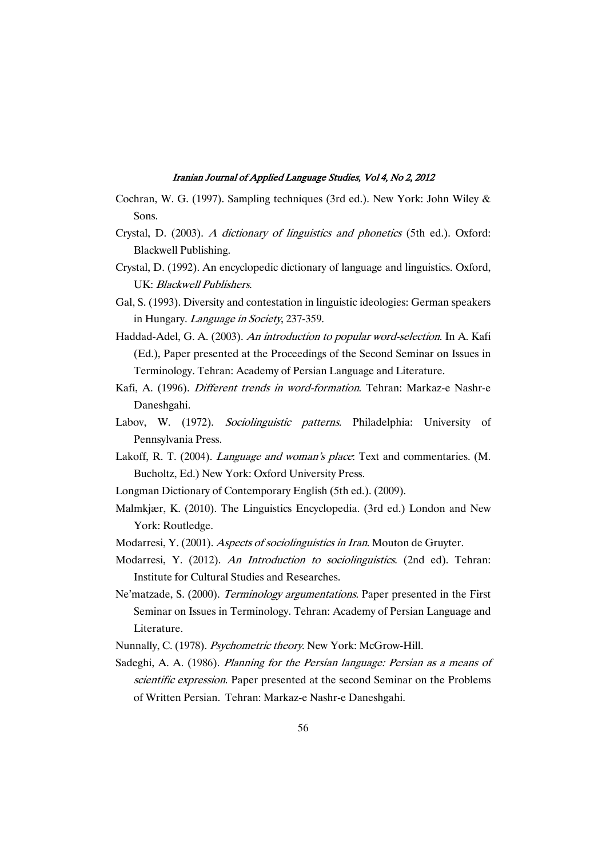- Cochran, W. G. (1997). Sampling techniques (3rd ed.). New York: John Wiley & Sons.
- Crystal, D. (2003). <sup>A</sup> dictionary of linguistics and phonetics (5th ed.). Oxford: Blackwell Publishing.
- Crystal, D. (1992). An encyclopedic dictionary of language and linguistics. Oxford, UK: Blackwell Publishers.
- Gal, S. (1993). Diversity and contestation in linguistic ideologies: German speakers in Hungary. *Language in Society*, 237-359.
- Haddad-Adel, G. A. (2003). An introduction to popular word-selection. In A. Kafi (Ed.), Paper presented at the Proceedings of the Second Seminar on Issues in Terminology. Tehran: Academy of Persian Language and Literature.
- Kafi, A. (1996). Different trends in word-formation. Tehran: Markaz-e Nashr-e Daneshgahi.
- Labov, W. (1972). Sociolinguistic patterns. Philadelphia: University of Pennsylvania Press.
- Lakoff, R. T. (2004). *Language and woman's place*: Text and commentaries. (M. Bucholtz, Ed.) New York: Oxford University Press.
- Longman Dictionary of Contemporary English (5th ed.). (2009).
- Malmkjær, K. (2010). The Linguistics Encyclopedia. (3rd ed.) London and New York: Routledge.
- Modarresi, Y. (2001). Aspects of sociolinguistics in Iran. Mouton de Gruyter.
- Modarresi, Y. (2012). An Introduction to sociolinguistics. (2nd ed). Tehran: Institute for Cultural Studies and Researches.
- Ne'matzade, S. (2000). Terminology argumentations. Paper presented in the First Seminar on Issues in Terminology. Tehran: Academy of Persian Language and Literature.
- Nunnally, C. (1978). *Psychometric theory*. New York: McGrow-Hill.
- Sadeghi, A. A. (1986). Planning for the Persian language: Persian as <sup>a</sup> means of scientific expression. Paper presented at the second Seminar on the Problems of Written Persian. Tehran: Markaz-e Nashr-e Daneshgahi.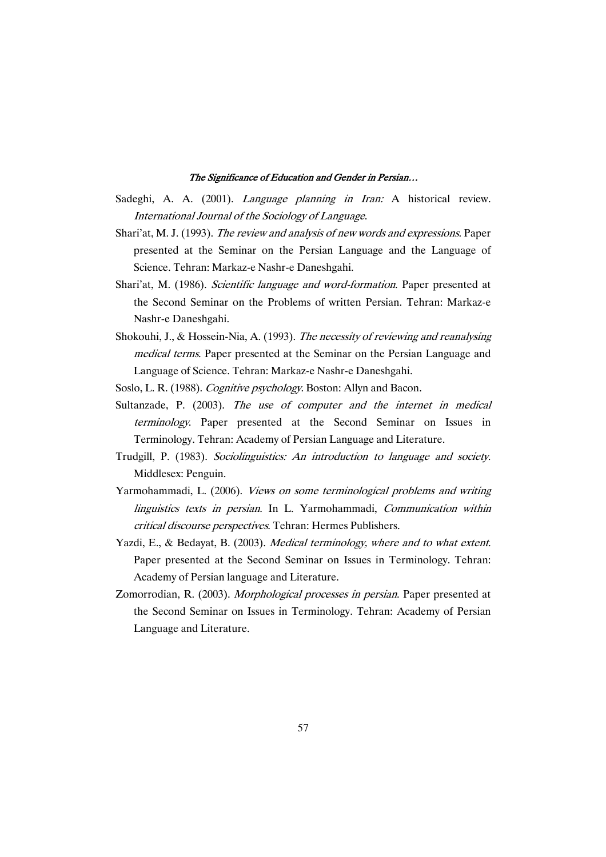- Sadeghi, A. A. (2001). *Language planning in Iran:* A historical review. International Journal of the Sociology of Language.
- Shari'at, M. J. (1993). The review and analysis of new words and expressions. Paper presented at the Seminar on the Persian Language and the Language of Science. Tehran: Markaz-e Nashr-e Daneshgahi.
- Shari'at, M. (1986). Scientific language and word-formation. Paper presented at the Second Seminar on the Problems of written Persian. Tehran: Markaz-e Nashr-e Daneshgahi.
- Shokouhi, J., & Hossein-Nia, A. (1993). The necessity of reviewing and reanalysing medical terms. Paper presented at the Seminar on the Persian Language and Language of Science. Tehran: Markaz-e Nashr-e Daneshgahi.
- Soslo, L. R. (1988). Cognitive psychology. Boston: Allyn and Bacon.
- Sultanzade, P. (2003). The use of computer and the internet in medical terminology. Paper presented at the Second Seminar on Issues in Terminology. Tehran: Academy of Persian Language and Literature.
- Trudgill, P. (1983). Sociolinguistics: An introduction to language and society. Middlesex: Penguin.
- Yarmohammadi, L. (2006). Views on some terminological problems and writing linguistics texts in persian. In L. Yarmohammadi, Communication within critical discourse perspectives. Tehran: Hermes Publishers.
- Yazdi, E., & Bedayat, B. (2003). Medical terminology, where and to what extent. Paper presented at the Second Seminar on Issues in Terminology. Tehran: Academy of Persian language and Literature.
- Zomorrodian, R. (2003). Morphological processes in persian. Paper presented at the Second Seminar on Issues in Terminology. Tehran: Academy of Persian Language and Literature.